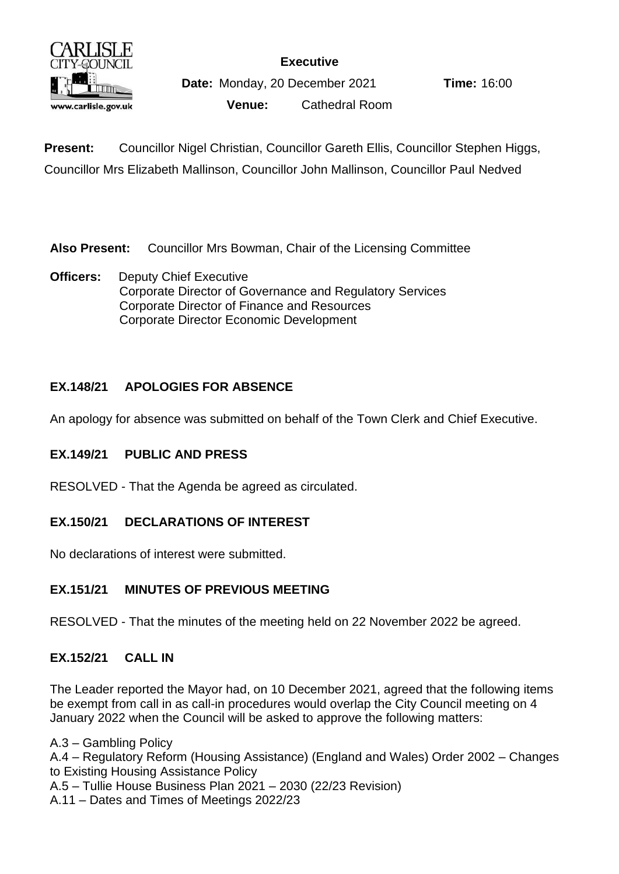

**Executive**

**Date:** Monday, 20 December 2021 **Time:** 16:00

**Venue:** Cathedral Room

**Present:** Councillor Nigel Christian, Councillor Gareth Ellis, Councillor Stephen Higgs, Councillor Mrs Elizabeth Mallinson, Councillor John Mallinson, Councillor Paul Nedved

**Also Present:** Councillor Mrs Bowman, Chair of the Licensing Committee

**Officers:** Deputy Chief Executive Corporate Director of Governance and Regulatory Services Corporate Director of Finance and Resources Corporate Director Economic Development

## **EX.148/21 APOLOGIES FOR ABSENCE**

An apology for absence was submitted on behalf of the Town Clerk and Chief Executive.

## **EX.149/21 PUBLIC AND PRESS**

RESOLVED - That the Agenda be agreed as circulated.

## **EX.150/21 DECLARATIONS OF INTEREST**

No declarations of interest were submitted.

## **EX.151/21 MINUTES OF PREVIOUS MEETING**

RESOLVED - That the minutes of the meeting held on 22 November 2022 be agreed.

## **EX.152/21 CALL IN**

The Leader reported the Mayor had, on 10 December 2021, agreed that the following items be exempt from call in as call-in procedures would overlap the City Council meeting on 4 January 2022 when the Council will be asked to approve the following matters:

A.3 – Gambling Policy A.4 – Regulatory Reform (Housing Assistance) (England and Wales) Order 2002 – Changes to Existing Housing Assistance Policy A.5 – Tullie House Business Plan 2021 – 2030 (22/23 Revision) A.11 – Dates and Times of Meetings 2022/23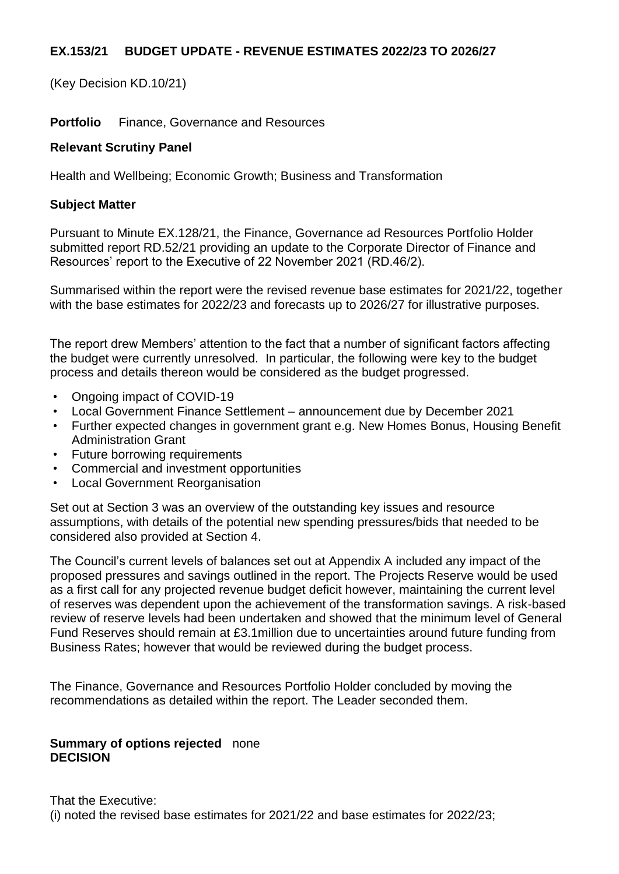## **EX.153/21 BUDGET UPDATE - REVENUE ESTIMATES 2022/23 TO 2026/27**

(Key Decision KD.10/21)

**Portfolio** Finance, Governance and Resources

## **Relevant Scrutiny Panel**

Health and Wellbeing; Economic Growth; Business and Transformation

## **Subject Matter**

Pursuant to Minute EX.128/21, the Finance, Governance ad Resources Portfolio Holder submitted report RD.52/21 providing an update to the Corporate Director of Finance and Resources' report to the Executive of 22 November 2021 (RD.46/2).

Summarised within the report were the revised revenue base estimates for 2021/22, together with the base estimates for 2022/23 and forecasts up to 2026/27 for illustrative purposes.

The report drew Members' attention to the fact that a number of significant factors affecting the budget were currently unresolved. In particular, the following were key to the budget process and details thereon would be considered as the budget progressed.

- Ongoing impact of COVID-19
- Local Government Finance Settlement announcement due by December 2021
- Further expected changes in government grant e.g. New Homes Bonus, Housing Benefit Administration Grant
- Future borrowing requirements
- Commercial and investment opportunities
- Local Government Reorganisation

Set out at Section 3 was an overview of the outstanding key issues and resource assumptions, with details of the potential new spending pressures/bids that needed to be considered also provided at Section 4.

The Council's current levels of balances set out at Appendix A included any impact of the proposed pressures and savings outlined in the report. The Projects Reserve would be used as a first call for any projected revenue budget deficit however, maintaining the current level of reserves was dependent upon the achievement of the transformation savings. A risk-based review of reserve levels had been undertaken and showed that the minimum level of General Fund Reserves should remain at £3.1million due to uncertainties around future funding from Business Rates; however that would be reviewed during the budget process.

The Finance, Governance and Resources Portfolio Holder concluded by moving the recommendations as detailed within the report. The Leader seconded them.

### **Summary of options rejected** none **DECISION**

That the Executive: (i) noted the revised base estimates for 2021/22 and base estimates for 2022/23;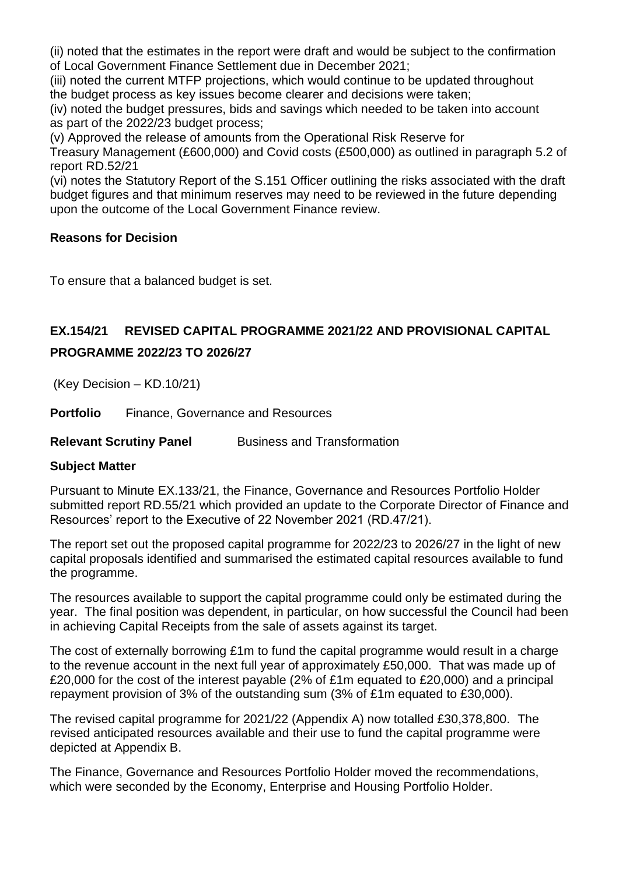(ii) noted that the estimates in the report were draft and would be subject to the confirmation of Local Government Finance Settlement due in December 2021;

(iii) noted the current MTFP projections, which would continue to be updated throughout the budget process as key issues become clearer and decisions were taken;

(iv) noted the budget pressures, bids and savings which needed to be taken into account as part of the 2022/23 budget process;

(v) Approved the release of amounts from the Operational Risk Reserve for

Treasury Management (£600,000) and Covid costs (£500,000) as outlined in paragraph 5.2 of report RD.52/21

(vi) notes the Statutory Report of the S.151 Officer outlining the risks associated with the draft budget figures and that minimum reserves may need to be reviewed in the future depending upon the outcome of the Local Government Finance review.

## **Reasons for Decision**

To ensure that a balanced budget is set.

# **EX.154/21 REVISED CAPITAL PROGRAMME 2021/22 AND PROVISIONAL CAPITAL PROGRAMME 2022/23 TO 2026/27**

(Key Decision – KD.10/21)

**Portfolio** Finance, Governance and Resources

**Relevant Scrutiny Panel Business and Transformation** 

## **Subject Matter**

Pursuant to Minute EX.133/21, the Finance, Governance and Resources Portfolio Holder submitted report RD.55/21 which provided an update to the Corporate Director of Finance and Resources' report to the Executive of 22 November 2021 (RD.47/21).

The report set out the proposed capital programme for 2022/23 to 2026/27 in the light of new capital proposals identified and summarised the estimated capital resources available to fund the programme.

The resources available to support the capital programme could only be estimated during the year. The final position was dependent, in particular, on how successful the Council had been in achieving Capital Receipts from the sale of assets against its target.

The cost of externally borrowing £1m to fund the capital programme would result in a charge to the revenue account in the next full year of approximately £50,000. That was made up of £20,000 for the cost of the interest payable (2% of £1m equated to £20,000) and a principal repayment provision of 3% of the outstanding sum (3% of £1m equated to £30,000).

The revised capital programme for 2021/22 (Appendix A) now totalled £30,378,800. The revised anticipated resources available and their use to fund the capital programme were depicted at Appendix B.

The Finance, Governance and Resources Portfolio Holder moved the recommendations, which were seconded by the Economy, Enterprise and Housing Portfolio Holder.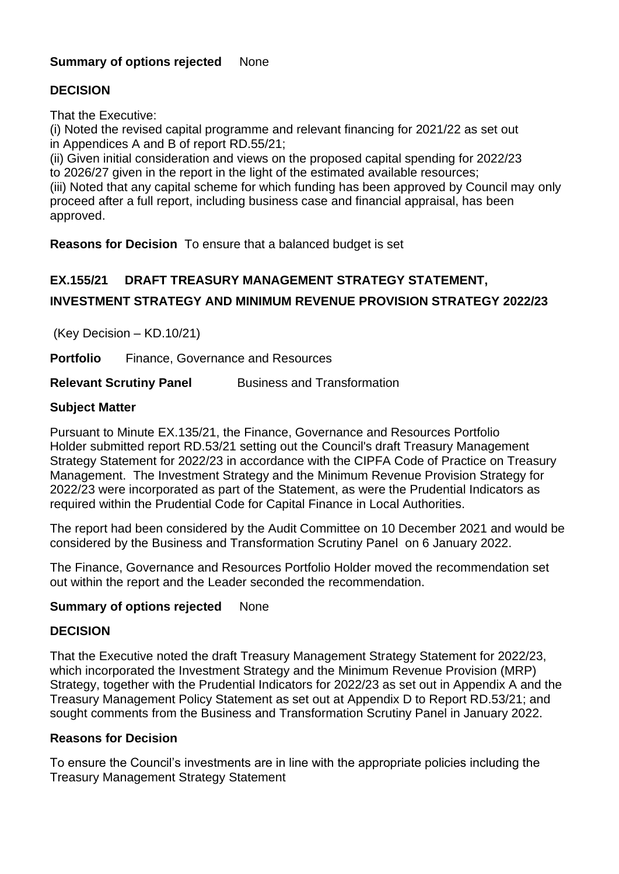## **Summary of options rejected** None

## **DECISION**

That the Executive:

(i) Noted the revised capital programme and relevant financing for 2021/22 as set out in Appendices A and B of report RD.55/21;

(ii) Given initial consideration and views on the proposed capital spending for 2022/23 to 2026/27 given in the report in the light of the estimated available resources;

(iii) Noted that any capital scheme for which funding has been approved by Council may only proceed after a full report, including business case and financial appraisal, has been approved.

**Reasons for Decision** To ensure that a balanced budget is set

# **EX.155/21 DRAFT TREASURY MANAGEMENT STRATEGY STATEMENT,**

## **INVESTMENT STRATEGY AND MINIMUM REVENUE PROVISION STRATEGY 2022/23**

(Key Decision – KD.10/21)

**Portfolio** Finance, Governance and Resources

### **Relevant Scrutiny Panel Business and Transformation**

## **Subject Matter**

Pursuant to Minute EX.135/21, the Finance, Governance and Resources Portfolio Holder submitted report RD.53/21 setting out the Council's draft Treasury Management Strategy Statement for 2022/23 in accordance with the CIPFA Code of Practice on Treasury Management. The Investment Strategy and the Minimum Revenue Provision Strategy for 2022/23 were incorporated as part of the Statement, as were the Prudential Indicators as required within the Prudential Code for Capital Finance in Local Authorities.

The report had been considered by the Audit Committee on 10 December 2021 and would be considered by the Business and Transformation Scrutiny Panel on 6 January 2022.

The Finance, Governance and Resources Portfolio Holder moved the recommendation set out within the report and the Leader seconded the recommendation.

### **Summary of options rejected** None

### **DECISION**

That the Executive noted the draft Treasury Management Strategy Statement for 2022/23, which incorporated the Investment Strategy and the Minimum Revenue Provision (MRP) Strategy, together with the Prudential Indicators for 2022/23 as set out in Appendix A and the Treasury Management Policy Statement as set out at Appendix D to Report RD.53/21; and sought comments from the Business and Transformation Scrutiny Panel in January 2022.

### **Reasons for Decision**

To ensure the Council's investments are in line with the appropriate policies including the Treasury Management Strategy Statement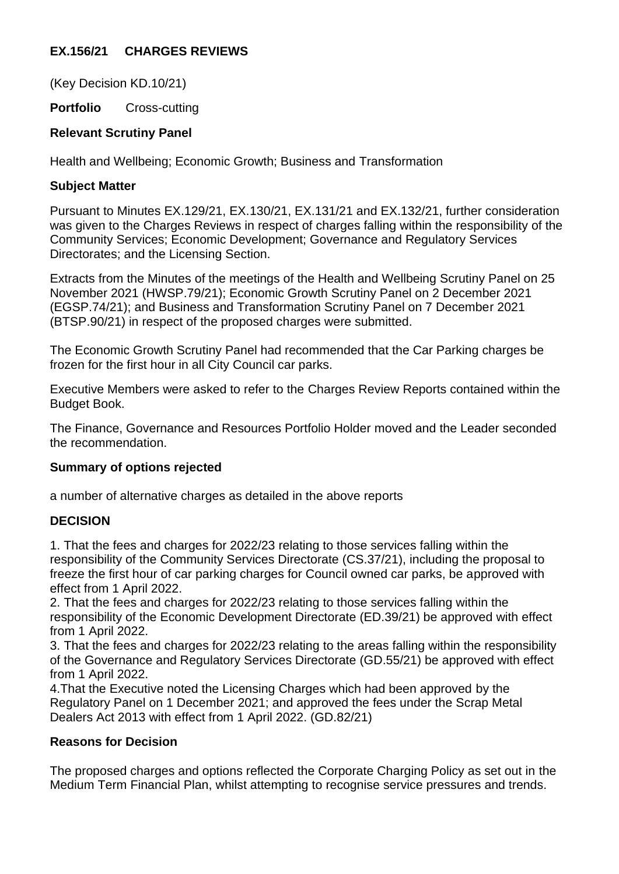## **EX.156/21 CHARGES REVIEWS**

(Key Decision KD.10/21)

**Portfolio** Cross-cutting

## **Relevant Scrutiny Panel**

Health and Wellbeing; Economic Growth; Business and Transformation

## **Subject Matter**

Pursuant to Minutes EX.129/21, EX.130/21, EX.131/21 and EX.132/21, further consideration was given to the Charges Reviews in respect of charges falling within the responsibility of the Community Services; Economic Development; Governance and Regulatory Services Directorates; and the Licensing Section.

Extracts from the Minutes of the meetings of the Health and Wellbeing Scrutiny Panel on 25 November 2021 (HWSP.79/21); Economic Growth Scrutiny Panel on 2 December 2021 (EGSP.74/21); and Business and Transformation Scrutiny Panel on 7 December 2021 (BTSP.90/21) in respect of the proposed charges were submitted.

The Economic Growth Scrutiny Panel had recommended that the Car Parking charges be frozen for the first hour in all City Council car parks.

Executive Members were asked to refer to the Charges Review Reports contained within the Budget Book.

The Finance, Governance and Resources Portfolio Holder moved and the Leader seconded the recommendation.

## **Summary of options rejected**

a number of alternative charges as detailed in the above reports

## **DECISION**

1. That the fees and charges for 2022/23 relating to those services falling within the responsibility of the Community Services Directorate (CS.37/21), including the proposal to freeze the first hour of car parking charges for Council owned car parks, be approved with effect from 1 April 2022.

2. That the fees and charges for 2022/23 relating to those services falling within the responsibility of the Economic Development Directorate (ED.39/21) be approved with effect from 1 April 2022.

3. That the fees and charges for 2022/23 relating to the areas falling within the responsibility of the Governance and Regulatory Services Directorate (GD.55/21) be approved with effect from 1 April 2022.

4.That the Executive noted the Licensing Charges which had been approved by the Regulatory Panel on 1 December 2021; and approved the fees under the Scrap Metal Dealers Act 2013 with effect from 1 April 2022. (GD.82/21)

## **Reasons for Decision**

The proposed charges and options reflected the Corporate Charging Policy as set out in the Medium Term Financial Plan, whilst attempting to recognise service pressures and trends.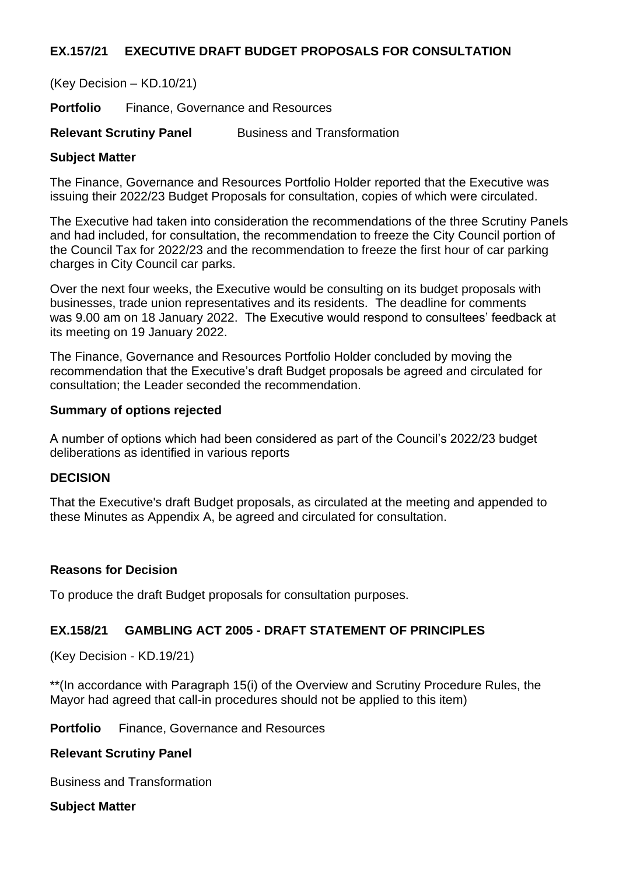## **EX.157/21 EXECUTIVE DRAFT BUDGET PROPOSALS FOR CONSULTATION**

(Key Decision – KD.10/21)

**Portfolio** Finance, Governance and Resources

**Relevant Scrutiny Panel** Business and Transformation

### **Subject Matter**

The Finance, Governance and Resources Portfolio Holder reported that the Executive was issuing their 2022/23 Budget Proposals for consultation, copies of which were circulated.

The Executive had taken into consideration the recommendations of the three Scrutiny Panels and had included, for consultation, the recommendation to freeze the City Council portion of the Council Tax for 2022/23 and the recommendation to freeze the first hour of car parking charges in City Council car parks.

Over the next four weeks, the Executive would be consulting on its budget proposals with businesses, trade union representatives and its residents. The deadline for comments was 9.00 am on 18 January 2022. The Executive would respond to consultees' feedback at its meeting on 19 January 2022.

The Finance, Governance and Resources Portfolio Holder concluded by moving the recommendation that the Executive's draft Budget proposals be agreed and circulated for consultation; the Leader seconded the recommendation.

### **Summary of options rejected**

A number of options which had been considered as part of the Council's 2022/23 budget deliberations as identified in various reports

## **DECISION**

That the Executive's draft Budget proposals, as circulated at the meeting and appended to these Minutes as Appendix A, be agreed and circulated for consultation.

### **Reasons for Decision**

To produce the draft Budget proposals for consultation purposes.

## **EX.158/21 GAMBLING ACT 2005 - DRAFT STATEMENT OF PRINCIPLES**

(Key Decision - KD.19/21)

\*\*(In accordance with Paragraph 15(i) of the Overview and Scrutiny Procedure Rules, the Mayor had agreed that call-in procedures should not be applied to this item)

**Portfolio** Finance, Governance and Resources

#### **Relevant Scrutiny Panel**

Business and Transformation

**Subject Matter**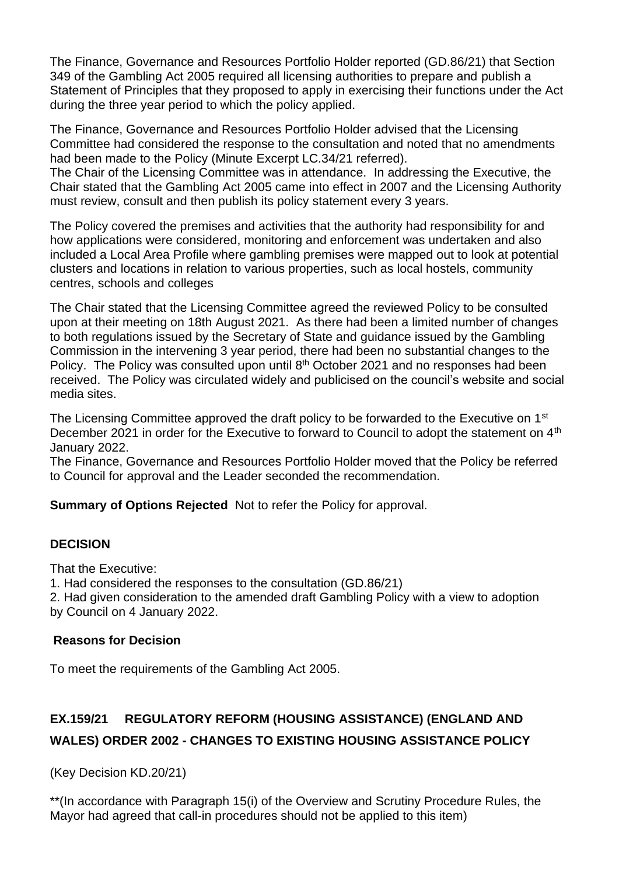The Finance, Governance and Resources Portfolio Holder reported (GD.86/21) that Section 349 of the Gambling Act 2005 required all licensing authorities to prepare and publish a Statement of Principles that they proposed to apply in exercising their functions under the Act during the three year period to which the policy applied.

The Finance, Governance and Resources Portfolio Holder advised that the Licensing Committee had considered the response to the consultation and noted that no amendments had been made to the Policy (Minute Excerpt LC.34/21 referred).

The Chair of the Licensing Committee was in attendance. In addressing the Executive, the Chair stated that the Gambling Act 2005 came into effect in 2007 and the Licensing Authority must review, consult and then publish its policy statement every 3 years.

The Policy covered the premises and activities that the authority had responsibility for and how applications were considered, monitoring and enforcement was undertaken and also included a Local Area Profile where gambling premises were mapped out to look at potential clusters and locations in relation to various properties, such as local hostels, community centres, schools and colleges

The Chair stated that the Licensing Committee agreed the reviewed Policy to be consulted upon at their meeting on 18th August 2021. As there had been a limited number of changes to both regulations issued by the Secretary of State and guidance issued by the Gambling Commission in the intervening 3 year period, there had been no substantial changes to the Policy. The Policy was consulted upon until  $8<sup>th</sup>$  October 2021 and no responses had been received. The Policy was circulated widely and publicised on the council's website and social media sites.

The Licensing Committee approved the draft policy to be forwarded to the Executive on 1<sup>st</sup> December 2021 in order for the Executive to forward to Council to adopt the statement on 4<sup>th</sup> January 2022.

The Finance, Governance and Resources Portfolio Holder moved that the Policy be referred to Council for approval and the Leader seconded the recommendation.

**Summary of Options Rejected** Not to refer the Policy for approval.

## **DECISION**

That the Executive:

1. Had considered the responses to the consultation (GD.86/21)

2. Had given consideration to the amended draft Gambling Policy with a view to adoption by Council on 4 January 2022.

### **Reasons for Decision**

To meet the requirements of the Gambling Act 2005.

# **EX.159/21 REGULATORY REFORM (HOUSING ASSISTANCE) (ENGLAND AND WALES) ORDER 2002 - CHANGES TO EXISTING HOUSING ASSISTANCE POLICY**

(Key Decision KD.20/21)

\*\*(In accordance with Paragraph 15(i) of the Overview and Scrutiny Procedure Rules, the Mayor had agreed that call-in procedures should not be applied to this item)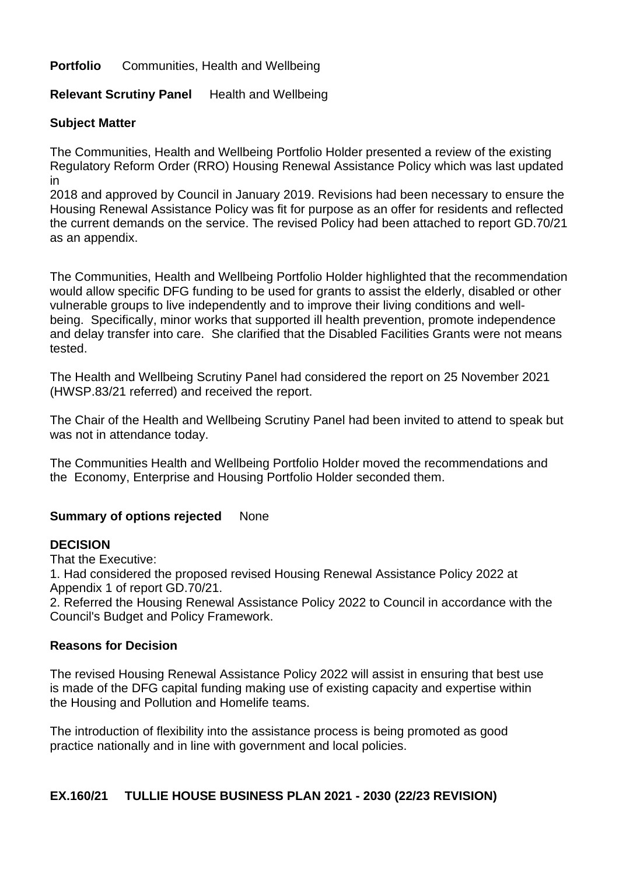## **Portfolio** Communities, Health and Wellbeing

## **Relevant Scrutiny Panel** Health and Wellbeing

### **Subject Matter**

The Communities, Health and Wellbeing Portfolio Holder presented a review of the existing Regulatory Reform Order (RRO) Housing Renewal Assistance Policy which was last updated in

2018 and approved by Council in January 2019. Revisions had been necessary to ensure the Housing Renewal Assistance Policy was fit for purpose as an offer for residents and reflected the current demands on the service. The revised Policy had been attached to report GD.70/21 as an appendix.

The Communities, Health and Wellbeing Portfolio Holder highlighted that the recommendation would allow specific DFG funding to be used for grants to assist the elderly, disabled or other vulnerable groups to live independently and to improve their living conditions and wellbeing. Specifically, minor works that supported ill health prevention, promote independence and delay transfer into care. She clarified that the Disabled Facilities Grants were not means tested.

The Health and Wellbeing Scrutiny Panel had considered the report on 25 November 2021 (HWSP.83/21 referred) and received the report.

The Chair of the Health and Wellbeing Scrutiny Panel had been invited to attend to speak but was not in attendance today.

The Communities Health and Wellbeing Portfolio Holder moved the recommendations and the Economy, Enterprise and Housing Portfolio Holder seconded them.

## **Summary of options rejected** None

### **DECISION**

That the Executive:

1. Had considered the proposed revised Housing Renewal Assistance Policy 2022 at Appendix 1 of report GD.70/21.

2. Referred the Housing Renewal Assistance Policy 2022 to Council in accordance with the Council's Budget and Policy Framework.

### **Reasons for Decision**

The revised Housing Renewal Assistance Policy 2022 will assist in ensuring that best use is made of the DFG capital funding making use of existing capacity and expertise within the Housing and Pollution and Homelife teams.

The introduction of flexibility into the assistance process is being promoted as good practice nationally and in line with government and local policies.

### **EX.160/21 TULLIE HOUSE BUSINESS PLAN 2021 - 2030 (22/23 REVISION)**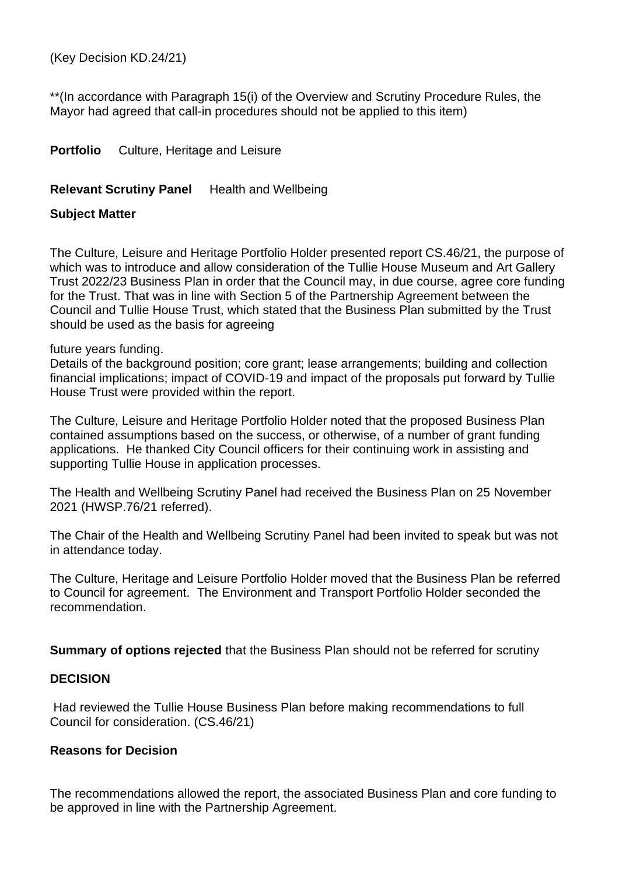(Key Decision KD.24/21)

\*\*(In accordance with Paragraph 15(i) of the Overview and Scrutiny Procedure Rules, the Mayor had agreed that call-in procedures should not be applied to this item)

**Portfolio** Culture, Heritage and Leisure

## **Relevant Scrutiny Panel** Health and Wellbeing

### **Subject Matter**

The Culture, Leisure and Heritage Portfolio Holder presented report CS.46/21, the purpose of which was to introduce and allow consideration of the Tullie House Museum and Art Gallery Trust 2022/23 Business Plan in order that the Council may, in due course, agree core funding for the Trust. That was in line with Section 5 of the Partnership Agreement between the Council and Tullie House Trust, which stated that the Business Plan submitted by the Trust should be used as the basis for agreeing

future years funding.

Details of the background position; core grant; lease arrangements; building and collection financial implications; impact of COVID-19 and impact of the proposals put forward by Tullie House Trust were provided within the report.

The Culture, Leisure and Heritage Portfolio Holder noted that the proposed Business Plan contained assumptions based on the success, or otherwise, of a number of grant funding applications. He thanked City Council officers for their continuing work in assisting and supporting Tullie House in application processes.

The Health and Wellbeing Scrutiny Panel had received the Business Plan on 25 November 2021 (HWSP.76/21 referred).

The Chair of the Health and Wellbeing Scrutiny Panel had been invited to speak but was not in attendance today.

The Culture, Heritage and Leisure Portfolio Holder moved that the Business Plan be referred to Council for agreement. The Environment and Transport Portfolio Holder seconded the recommendation.

**Summary of options rejected** that the Business Plan should not be referred for scrutiny

### **DECISION**

Had reviewed the Tullie House Business Plan before making recommendations to full Council for consideration. (CS.46/21)

### **Reasons for Decision**

The recommendations allowed the report, the associated Business Plan and core funding to be approved in line with the Partnership Agreement.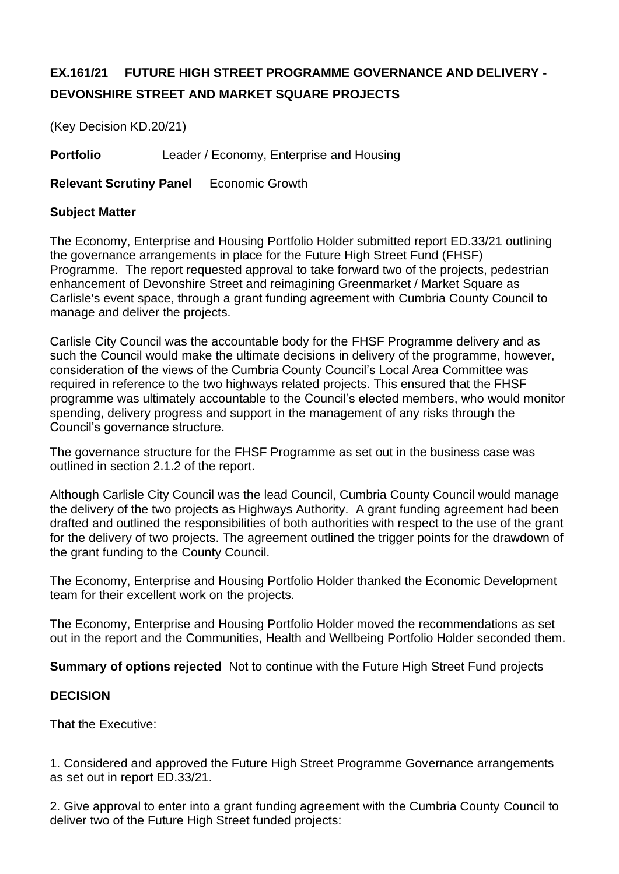# **EX.161/21 FUTURE HIGH STREET PROGRAMME GOVERNANCE AND DELIVERY - DEVONSHIRE STREET AND MARKET SQUARE PROJECTS**

(Key Decision KD.20/21)

**Portfolio** Leader / Economy, Enterprise and Housing

**Relevant Scrutiny Panel** Economic Growth

## **Subject Matter**

The Economy, Enterprise and Housing Portfolio Holder submitted report ED.33/21 outlining the governance arrangements in place for the Future High Street Fund (FHSF) Programme. The report requested approval to take forward two of the projects, pedestrian enhancement of Devonshire Street and reimagining Greenmarket / Market Square as Carlisle's event space, through a grant funding agreement with Cumbria County Council to manage and deliver the projects.

Carlisle City Council was the accountable body for the FHSF Programme delivery and as such the Council would make the ultimate decisions in delivery of the programme, however, consideration of the views of the Cumbria County Council's Local Area Committee was required in reference to the two highways related projects. This ensured that the FHSF programme was ultimately accountable to the Council's elected members, who would monitor spending, delivery progress and support in the management of any risks through the Council's governance structure.

The governance structure for the FHSF Programme as set out in the business case was outlined in section 2.1.2 of the report.

Although Carlisle City Council was the lead Council, Cumbria County Council would manage the delivery of the two projects as Highways Authority. A grant funding agreement had been drafted and outlined the responsibilities of both authorities with respect to the use of the grant for the delivery of two projects. The agreement outlined the trigger points for the drawdown of the grant funding to the County Council.

The Economy, Enterprise and Housing Portfolio Holder thanked the Economic Development team for their excellent work on the projects.

The Economy, Enterprise and Housing Portfolio Holder moved the recommendations as set out in the report and the Communities, Health and Wellbeing Portfolio Holder seconded them.

**Summary of options rejected** Not to continue with the Future High Street Fund projects

## **DECISION**

That the Executive:

1. Considered and approved the Future High Street Programme Governance arrangements as set out in report ED.33/21.

2. Give approval to enter into a grant funding agreement with the Cumbria County Council to deliver two of the Future High Street funded projects: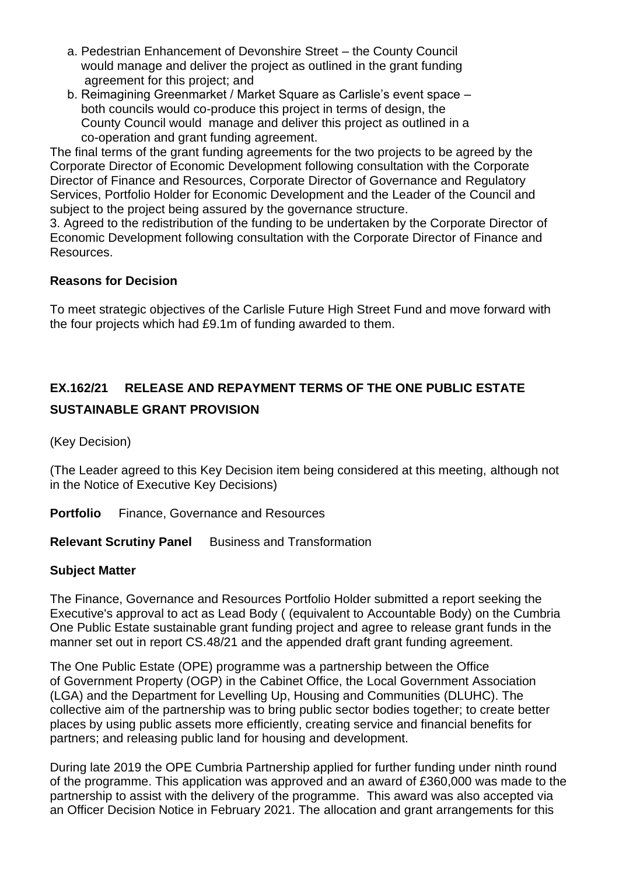- a. Pedestrian Enhancement of Devonshire Street the County Council would manage and deliver the project as outlined in the grant funding agreement for this project; and
- b. Reimagining Greenmarket / Market Square as Carlisle's event space both councils would co-produce this project in terms of design, the County Council would manage and deliver this project as outlined in a co-operation and grant funding agreement.

The final terms of the grant funding agreements for the two projects to be agreed by the Corporate Director of Economic Development following consultation with the Corporate Director of Finance and Resources, Corporate Director of Governance and Regulatory Services, Portfolio Holder for Economic Development and the Leader of the Council and subject to the project being assured by the governance structure.

3. Agreed to the redistribution of the funding to be undertaken by the Corporate Director of Economic Development following consultation with the Corporate Director of Finance and Resources.

## **Reasons for Decision**

To meet strategic objectives of the Carlisle Future High Street Fund and move forward with the four projects which had £9.1m of funding awarded to them.

# **EX.162/21 RELEASE AND REPAYMENT TERMS OF THE ONE PUBLIC ESTATE SUSTAINABLE GRANT PROVISION**

(Key Decision)

(The Leader agreed to this Key Decision item being considered at this meeting, although not in the Notice of Executive Key Decisions)

**Portfolio** Finance, Governance and Resources

**Relevant Scrutiny Panel** Business and Transformation

## **Subject Matter**

The Finance, Governance and Resources Portfolio Holder submitted a report seeking the Executive's approval to act as Lead Body ( (equivalent to Accountable Body) on the Cumbria One Public Estate sustainable grant funding project and agree to release grant funds in the manner set out in report CS.48/21 and the appended draft grant funding agreement.

The One Public Estate (OPE) programme was a partnership between the Office of Government Property (OGP) in the Cabinet Office, the Local Government Association (LGA) and the Department for Levelling Up, Housing and Communities (DLUHC). The collective aim of the partnership was to bring public sector bodies together; to create better places by using public assets more efficiently, creating service and financial benefits for partners; and releasing public land for housing and development.

During late 2019 the OPE Cumbria Partnership applied for further funding under ninth round of the programme. This application was approved and an award of £360,000 was made to the partnership to assist with the delivery of the programme. This award was also accepted via an Officer Decision Notice in February 2021. The allocation and grant arrangements for this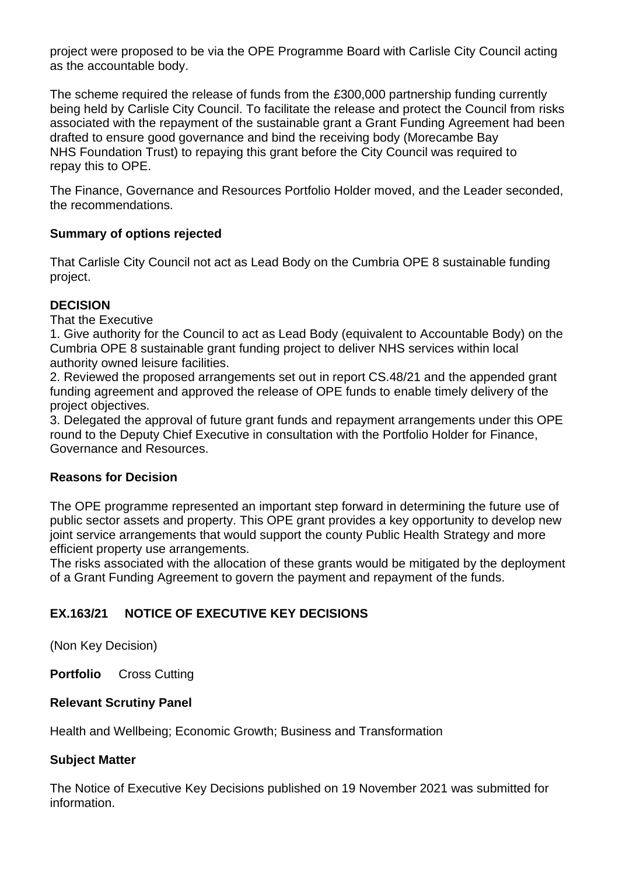project were proposed to be via the OPE Programme Board with Carlisle City Council acting as the accountable body.

The scheme required the release of funds from the £300,000 partnership funding currently being held by Carlisle City Council. To facilitate the release and protect the Council from risks associated with the repayment of the sustainable grant a Grant Funding Agreement had been drafted to ensure good governance and bind the receiving body (Morecambe Bay NHS Foundation Trust) to repaying this grant before the City Council was required to repay this to OPE.

The Finance, Governance and Resources Portfolio Holder moved, and the Leader seconded, the recommendations.

## **Summary of options rejected**

That Carlisle City Council not act as Lead Body on the Cumbria OPE 8 sustainable funding project.

## **DECISION**

That the Executive

1. Give authority for the Council to act as Lead Body (equivalent to Accountable Body) on the Cumbria OPE 8 sustainable grant funding project to deliver NHS services within local authority owned leisure facilities.

2. Reviewed the proposed arrangements set out in report CS.48/21 and the appended grant funding agreement and approved the release of OPE funds to enable timely delivery of the project objectives.

3. Delegated the approval of future grant funds and repayment arrangements under this OPE round to the Deputy Chief Executive in consultation with the Portfolio Holder for Finance, Governance and Resources.

## **Reasons for Decision**

The OPE programme represented an important step forward in determining the future use of public sector assets and property. This OPE grant provides a key opportunity to develop new joint service arrangements that would support the county Public Health Strategy and more efficient property use arrangements.

The risks associated with the allocation of these grants would be mitigated by the deployment of a Grant Funding Agreement to govern the payment and repayment of the funds.

## **EX.163/21 NOTICE OF EXECUTIVE KEY DECISIONS**

(Non Key Decision)

**Portfolio** Cross Cutting

## **Relevant Scrutiny Panel**

Health and Wellbeing; Economic Growth; Business and Transformation

## **Subject Matter**

The Notice of Executive Key Decisions published on 19 November 2021 was submitted for information.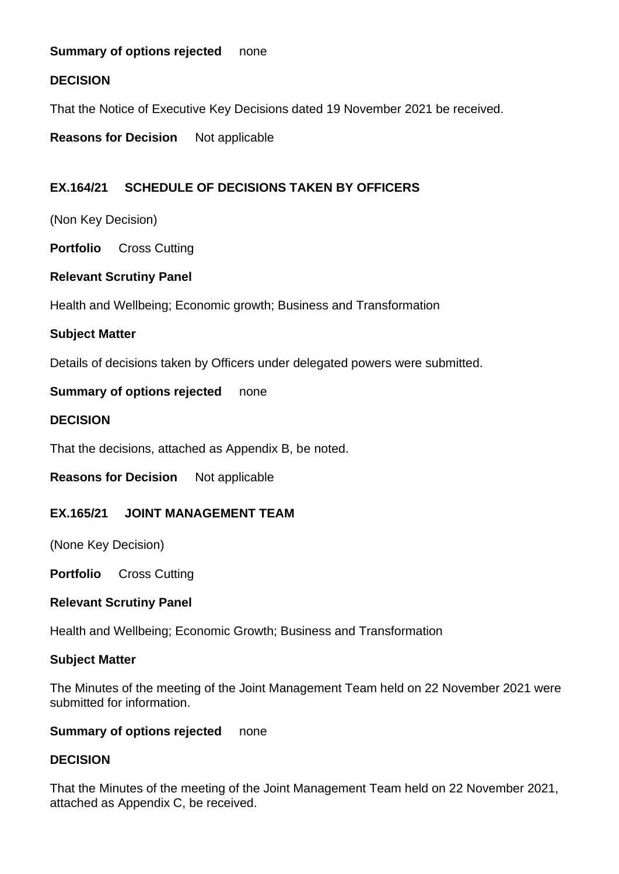## **Summary of options rejected** none

## **DECISION**

That the Notice of Executive Key Decisions dated 19 November 2021 be received.

**Reasons for Decision** Not applicable

## **EX.164/21 SCHEDULE OF DECISIONS TAKEN BY OFFICERS**

(Non Key Decision)

**Portfolio** Cross Cutting

## **Relevant Scrutiny Panel**

Health and Wellbeing; Economic growth; Business and Transformation

## **Subject Matter**

Details of decisions taken by Officers under delegated powers were submitted.

**Summary of options rejected** none

### **DECISION**

That the decisions, attached as Appendix B, be noted.

**Reasons for Decision** Not applicable

### **EX.165/21 JOINT MANAGEMENT TEAM**

(None Key Decision)

**Portfolio** Cross Cutting

### **Relevant Scrutiny Panel**

Health and Wellbeing; Economic Growth; Business and Transformation

### **Subject Matter**

The Minutes of the meeting of the Joint Management Team held on 22 November 2021 were submitted for information.

### **Summary of options rejected** none

### **DECISION**

That the Minutes of the meeting of the Joint Management Team held on 22 November 2021, attached as Appendix C, be received.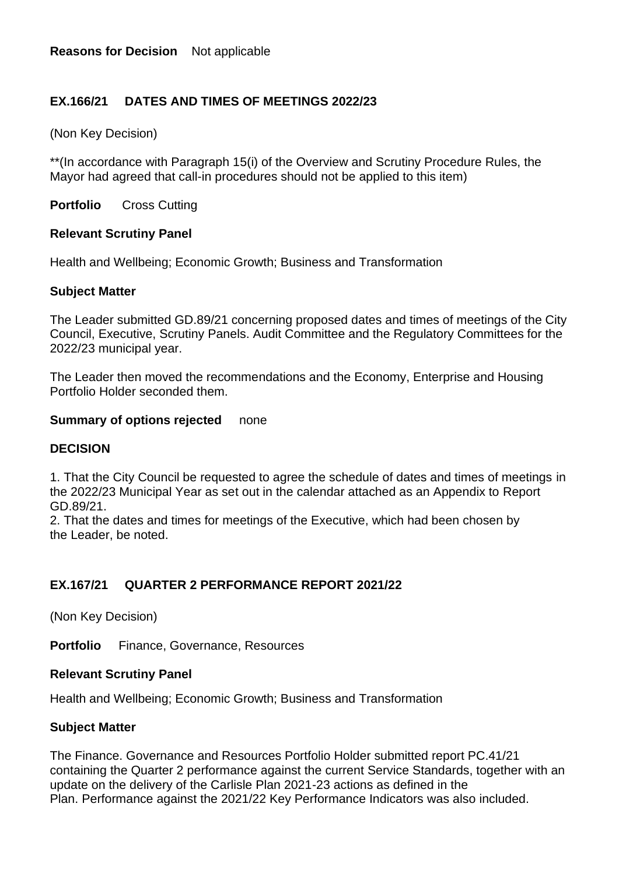## **EX.166/21 DATES AND TIMES OF MEETINGS 2022/23**

(Non Key Decision)

\*\*(In accordance with Paragraph 15(i) of the Overview and Scrutiny Procedure Rules, the Mayor had agreed that call-in procedures should not be applied to this item)

**Portfolio** Cross Cutting

### **Relevant Scrutiny Panel**

Health and Wellbeing; Economic Growth; Business and Transformation

### **Subject Matter**

The Leader submitted GD.89/21 concerning proposed dates and times of meetings of the City Council, Executive, Scrutiny Panels. Audit Committee and the Regulatory Committees for the 2022/23 municipal year.

The Leader then moved the recommendations and the Economy, Enterprise and Housing Portfolio Holder seconded them.

## **Summary of options rejected** none

## **DECISION**

1. That the City Council be requested to agree the schedule of dates and times of meetings in the 2022/23 Municipal Year as set out in the calendar attached as an Appendix to Report GD.89/21.

2. That the dates and times for meetings of the Executive, which had been chosen by the Leader, be noted.

## **EX.167/21 QUARTER 2 PERFORMANCE REPORT 2021/22**

(Non Key Decision)

**Portfolio** Finance, Governance, Resources

### **Relevant Scrutiny Panel**

Health and Wellbeing; Economic Growth; Business and Transformation

### **Subject Matter**

The Finance. Governance and Resources Portfolio Holder submitted report PC.41/21 containing the Quarter 2 performance against the current Service Standards, together with an update on the delivery of the Carlisle Plan 2021-23 actions as defined in the Plan. Performance against the 2021/22 Key Performance Indicators was also included.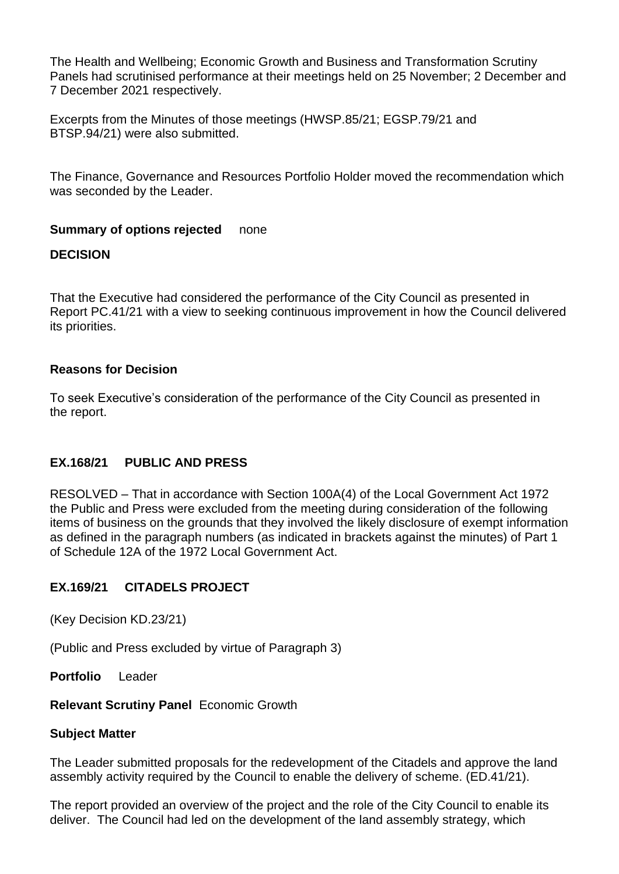The Health and Wellbeing; Economic Growth and Business and Transformation Scrutiny Panels had scrutinised performance at their meetings held on 25 November; 2 December and 7 December 2021 respectively.

Excerpts from the Minutes of those meetings (HWSP.85/21; EGSP.79/21 and BTSP.94/21) were also submitted.

The Finance, Governance and Resources Portfolio Holder moved the recommendation which was seconded by the Leader.

### **Summary of options rejected** none

## **DECISION**

That the Executive had considered the performance of the City Council as presented in Report PC.41/21 with a view to seeking continuous improvement in how the Council delivered its priorities.

### **Reasons for Decision**

To seek Executive's consideration of the performance of the City Council as presented in the report.

## **EX.168/21 PUBLIC AND PRESS**

RESOLVED – That in accordance with Section 100A(4) of the Local Government Act 1972 the Public and Press were excluded from the meeting during consideration of the following items of business on the grounds that they involved the likely disclosure of exempt information as defined in the paragraph numbers (as indicated in brackets against the minutes) of Part 1 of Schedule 12A of the 1972 Local Government Act.

## **EX.169/21 CITADELS PROJECT**

(Key Decision KD.23/21)

(Public and Press excluded by virtue of Paragraph 3)

**Portfolio** Leader

### **Relevant Scrutiny Panel** Economic Growth

### **Subject Matter**

The Leader submitted proposals for the redevelopment of the Citadels and approve the land assembly activity required by the Council to enable the delivery of scheme. (ED.41/21).

The report provided an overview of the project and the role of the City Council to enable its deliver. The Council had led on the development of the land assembly strategy, which